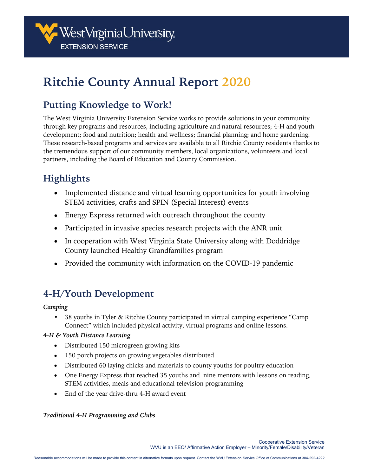

# **Ritchie County Annual Report 2020**

## **Putting Knowledge to Work!**

The West Virginia University Extension Service works to provide solutions in your community through key programs and resources, including agriculture and natural resources; 4-H and youth development; food and nutrition; health and wellness; financial planning; and home gardening. These research-based programs and services are available to all Ritchie County residents thanks to the tremendous support of our community members, local organizations, volunteers and local partners, including the Board of Education and County Commission.

## **Highlights**

- Implemented distance and virtual learning opportunities for youth involving STEM activities, crafts and SPIN (Special Interest) events
- Energy Express returned with outreach throughout the county
- Participated in invasive species research projects with the ANR unit
- In cooperation with West Virginia State University along with Doddridge County launched Healthy Grandfamilies program
- Provided the community with information on the COVID-19 pandemic

## **4-H/Youth Development**

*Camping* 

• 38 youths in Tyler & Ritchie County participated in virtual camping experience "Camp Connect" which included physical activity, virtual programs and online lessons.

#### *4-H & Youth Distance Learning*

- Distributed 150 microgreen growing kits
- 150 porch projects on growing vegetables distributed
- Distributed 60 laying chicks and materials to county youths for poultry education
- One Energy Express that reached 35 youths and nine mentors with lessons on reading, STEM activities, meals and educational television programming
- End of the year drive-thru 4-H award event

#### *Traditional 4-H Programming and Clubs*